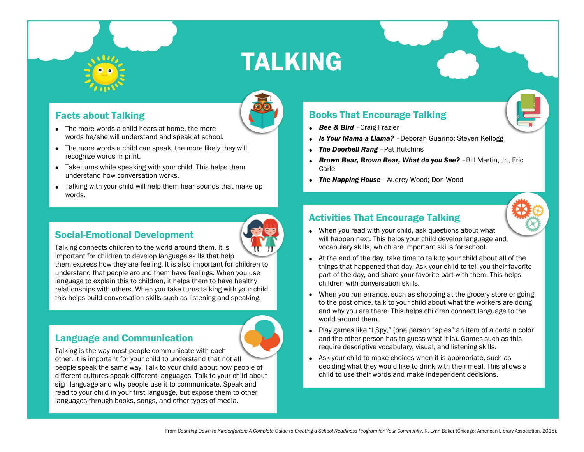

## TALKING

### Facts about Talking

- The more words a child hears at home, the more words he/she will understand and speak at school.
- The more words a child can speak, the more likely they will recognize words in print.
- Take turns while speaking with your child. This helps them understand how conversation works.
- Talking with your child will help them hear sounds that make up words.

## Social-Emotional Development



Talking connects children to the world around them. It is important for children to develop language skills that help

them express how they are feeling. It is also important for children to understand that people around them have feelings. When you use language to explain this to children, it helps them to have healthy relationships with others. When you take turns talking with your child, this helps build conversation skills such as listening and speaking.

#### Language and Communication



## Books That Encourage Talking

- *Bee & Bird* –Craig Frazier
- *Is Your Mama a Llama?* –Deborah Guarino; Steven Kellogg
- *The Doorbell Rang -Pat Hutchins*
- *Brown Bear, Brown Bear, What do you See?* –Bill Martin, Jr., Eric Carle
- *The Napping House* –Audrey Wood; Don Wood

## Activities That Encourage Talking

- When you read with your child, ask questions about what will happen next. This helps your child develop language and vocabulary skills, which are important skills for school.
- At the end of the day, take time to talk to your child about all of the things that happened that day. Ask your child to tell you their favorite part of the day, and share your favorite part with them. This helps children with conversation skills.
- When you run errands, such as shopping at the grocery store or going to the post office, talk to your child about what the workers are doing and why you are there. This helps children connect language to the world around them.
- Play games like "I Spy," (one person "spies" an item of a certain color and the other person has to guess what it is). Games such as this require descriptive vocabulary, visual, and listening skills.
- Ask your child to make choices when it is appropriate, such as deciding what they would like to drink with their meal. This allows a child to use their words and make independent decisions.